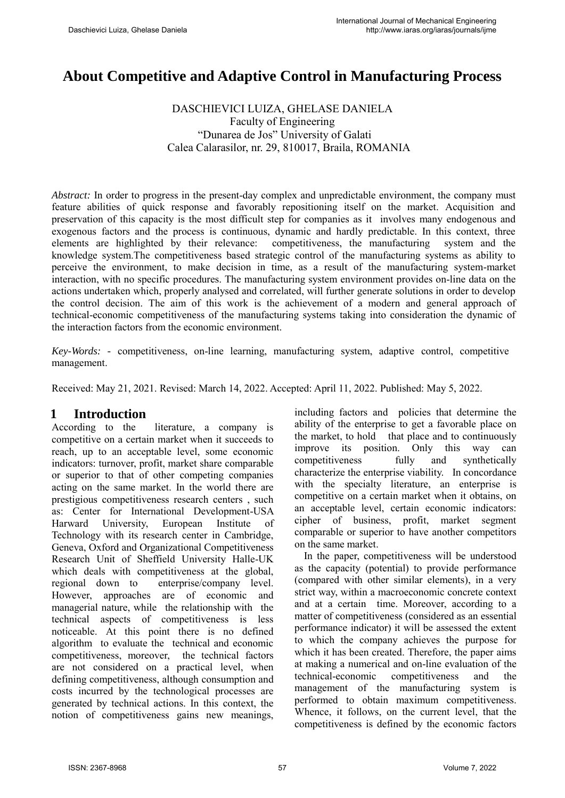# **About Competitive and Adaptive Control in Manufacturing Process**

#### DASCHIEVICI LUIZA, GHELASE DANIELA Faculty of Engineering "Dunarea de Jos" University of Galati Calea Calarasilor, nr. 29, 810017, Braila, ROMANIA

*Abstract:* In order to progress in the present-day complex and unpredictable environment, the company must feature abilities of quick response and favorably repositioning itself on the market. Acquisition and preservation of this capacity is the most difficult step for companies as it involves many endogenous and exogenous factors and the process is continuous, dynamic and hardly predictable. In this context, three elements are highlighted by their relevance: competitiveness, the manufacturing system and the knowledge system.The competitiveness based strategic control of the manufacturing systems as ability to perceive the environment, to make decision in time, as a result of the manufacturing system-market interaction, with no specific procedures. The manufacturing system environment provides on-line data on the actions undertaken which, properly analysed and correlated, will further generate solutions in order to develop the control decision. The aim of this work is the achievement of a modern and general approach of technical-economic competitiveness of the manufacturing systems taking into consideration the dynamic of the interaction factors from the economic environment.

*Key-Words: -* competitiveness, on-line learning, manufacturing system, adaptive control, competitive management.

Received: May 21, 2021. Revised: March 14, 2022. Accepted: April 11, 2022. Published: May 5, 2022.

### **1 Introduction**

According to the literature, a company is competitive on a certain market when it succeeds to reach, up to an acceptable level, some economic indicators: turnover, profit, market share comparable or superior to that of other competing companies acting on the same market. In the world there are prestigious competitiveness research centers , such as: Center for International Development-USA Harward University, European Institute of Technology with its research center in Cambridge, Geneva, Oxford and Organizational Competitiveness Research Unit of Sheffield University Halle-UK which deals with competitiveness at the global, regional down to enterprise/company level. However, approaches are of economic and managerial nature, while the relationship with the technical aspects of competitiveness is less noticeable. At this point there is no defined algorithm to evaluate the technical and economic competitiveness, moreover, the technical factors are not considered on a practical level, when defining competitiveness, although consumption and costs incurred by the technological processes are generated by technical actions. In this context, the notion of competitiveness gains new meanings,

including factors and policies that determine the ability of the enterprise to get a favorable place on the market, to hold that place and to continuously improve its position. Only this way can competitiveness fully and synthetically characterize the enterprise viability. In concordance with the specialty literature, an enterprise is competitive on a certain market when it obtains, on an acceptable level, certain economic indicators: cipher of business, profit, market segment comparable or superior to have another competitors on the same market.

In the paper, competitiveness will be understood as the capacity (potential) to provide performance (compared with other similar elements), in a very strict way, within a macroeconomic concrete context and at a certain time. Moreover, according to a matter of competitiveness (considered as an essential performance indicator) it will be assessed the extent to which the company achieves the purpose for which it has been created. Therefore, the paper aims at making a numerical and on-line evaluation of the technical-economic competitiveness and the management of the manufacturing system is performed to obtain maximum competitiveness. Whence, it follows, on the current level, that the competitiveness is defined by the economic factors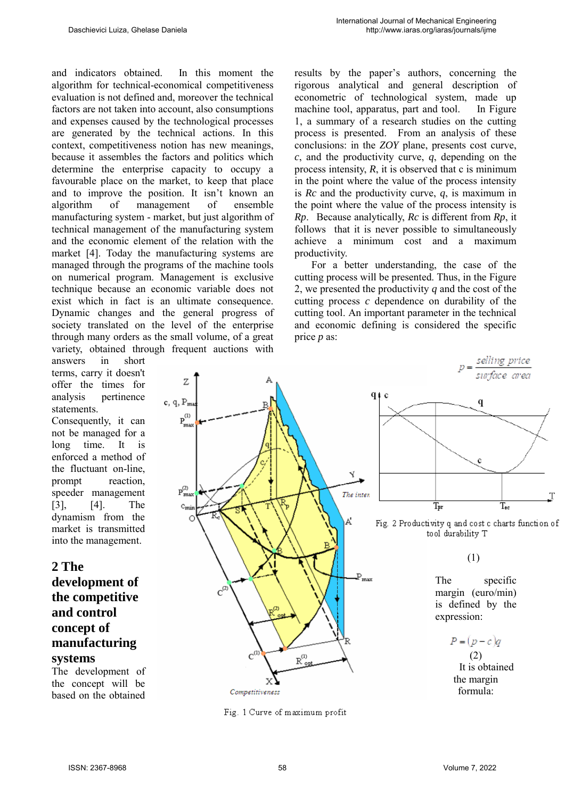and indicators obtained. In this moment the algorithm for technical-economical competitiveness evaluation is not defined and, moreover the technical factors are not taken into account, also consumptions and expenses caused by the technological processes are generated by the technical actions. In this context, competitiveness notion has new meanings, because it assembles the factors and politics which determine the enterprise capacity to occupy a favourable place on the market, to keep that place and to improve the position. It isn't known an algorithm of management of ensemble manufacturing system - market, but just algorithm of technical management of the manufacturing system and the economic element of the relation with the market [4]. Today the manufacturing systems are managed through the programs of the machine tools on numerical program. Management is exclusive technique because an economic variable does not exist which in fact is an ultimate consequence. Dynamic changes and the general progress of society translated on the level of the enterprise through many orders as the small volume, of a great variety, obtained through frequent auctions with

answers in short terms, carry it doesn't offer the times for analysis pertinence statements.

Consequently, it can not be managed for a long time. It is enforced a method of the fluctuant on-line, prompt reaction, speeder management [3], [4]. The dynamism from the market is transmitted into the management.

# **2 The**

## **development of the competitive and control concept of manufacturing systems**

The development of the concept will be based on the obtained

results by the paper's authors, concerning the rigorous analytical and general description of econometric of technological system, made up machine tool, apparatus, part and tool. In Figure 1, a summary of a research studies on the cutting process is presented. From an analysis of these conclusions: in the *ZOY* plane, presents cost curve, *c*, and the productivity curve, *q*, depending on the process intensity,  $R$ , it is observed that c is minimum in the point where the value of the process intensity is *Rc* and the productivity curve, *q*, is maximum in the point where the value of the process intensity is *Rp*. Because analytically, *Rc* is different from *Rp*, it follows that it is never possible to simultaneously achieve a minimum cost and a maximum productivity.

 For a better understanding, the case of the cutting process will be presented. Thus, in the Figure 2, we presented the productivity *q* and the cost of the cutting process *c* dependence on durability of the cutting tool. An important parameter in the technical and economic defining is considered the specific price *p* as:



Fig. 1 Curve of maximum profit



Fig. 2 Productivity q and cost c charts function of tool durability T

(1)

The specific margin (euro/min) is defined by the expression:

```
P=(p-c)q(2)
  It is obtained 
the margin 
 formula:
```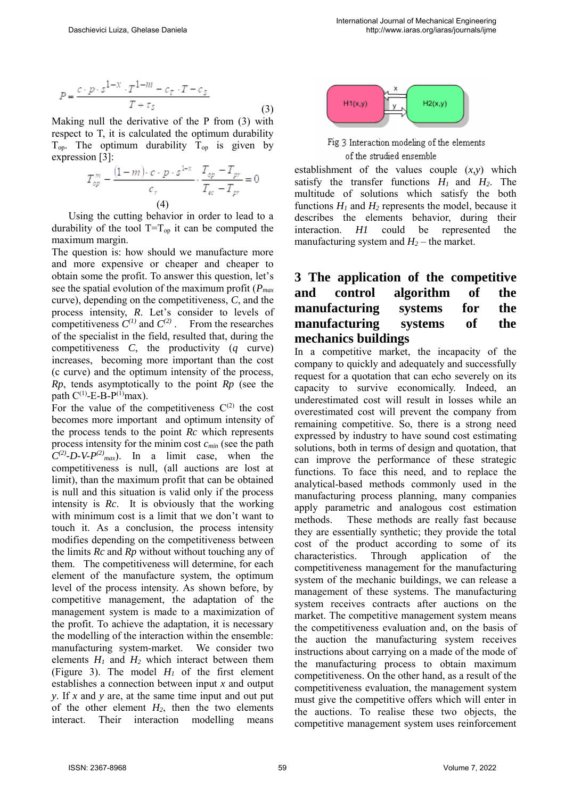$$
P = \frac{c \cdot p \cdot s^{1-x} \cdot T^{1-m} - c_T \cdot T - c_S}{T + \tau_S}
$$
\n(3)

Making null the derivative of the P from (3) with respect to T, it is calculated the optimum durability  $T_{op}$ . The optimum durability  $T_{op}$  is given by expression [3]:

$$
T_{op}^{m} - \frac{(1-m)\cdot c \cdot p \cdot s^{1-x}}{c_r} \cdot \frac{T_{op} - T_{pr}}{T_{ec} - T_{pr}} = 0
$$
\n(4)

 Using the cutting behavior in order to lead to a durability of the tool  $T=T_{op}$  it can be computed the maximum margin.

The question is: how should we manufacture more and more expensive or cheaper and cheaper to obtain some the profit. To answer this question, let's see the spatial evolution of the maximum profit (*Pmax* curve), depending on the competitiveness, *C*, and the process intensity, *R*. Let's consider to levels of competitiveness  $C^{(1)}$  and  $C^{(2)}$ . From the researches of the specialist in the field, resulted that, during the competitiveness *C*, the productivity (*q* curve) increases, becoming more important than the cost (c curve) and the optimum intensity of the process, *Rp*, tends asymptotically to the point *Rp* (see the path  $C^{(1)}$ -E-B-P<sup>(1)</sup>max).

For the value of the competitiveness  $C^{(2)}$  the cost becomes more important and optimum intensity of the process tends to the point *Rc* which represents process intensity for the minim cost *cmin* (see the path  $C^{(2)}$ -*D*-*V*- $P^{(2)}$ <sub>max</sub>). In a limit case, when the competitiveness is null, (all auctions are lost at limit), than the maximum profit that can be obtained is null and this situation is valid only if the process intensity is *Rc*. It is obviously that the working with minimum cost is a limit that we don't want to touch it. As a conclusion, the process intensity modifies depending on the competitiveness between the limits *Rc* and *Rp* without without touching any of them. The competitiveness will determine, for each element of the manufacture system, the optimum level of the process intensity. As shown before, by competitive management, the adaptation of the management system is made to a maximization of the profit. To achieve the adaptation, it is necessary the modelling of the interaction within the ensemble: manufacturing system-market. We consider two elements *H<sup>1</sup>* and *H<sup>2</sup>* which interact between them (Figure 3). The model  $H_1$  of the first element establishes a connection between input *x* and output *y*. If *x* and *y* are, at the same time input and out put of the other element  $H_2$ , then the two elements interact. Their interaction modelling means



Fig 3 Interaction modeling of the elements of the strudied ensemble

establishment of the values couple  $(x, y)$  which satisfy the transfer functions  $H_1$  and  $H_2$ . The multitude of solutions which satisfy the both functions  $H_1$  and  $H_2$  represents the model, because it describes the elements behavior, during their interaction. *H1* could be represented the manufacturing system and  $H_2$  – the market.

# **3 The application of the competitive and control algorithm of the manufacturing systems for the manufacturing systems of the mechanics buildings**

In a competitive market, the incapacity of the company to quickly and adequately and successfully request for a quotation that can echo severely on its capacity to survive economically. Indeed, an underestimated cost will result in losses while an overestimated cost will prevent the company from remaining competitive. So, there is a strong need expressed by industry to have sound cost estimating solutions, both in terms of design and quotation, that can improve the performance of these strategic functions. To face this need, and to replace the analytical-based methods commonly used in the manufacturing process planning, many companies apply parametric and analogous cost estimation methods. These methods are really fast because they are essentially synthetic; they provide the total cost of the product according to some of its characteristics. Through application of the competitiveness management for the manufacturing system of the mechanic buildings, we can release a management of these systems. The manufacturing system receives contracts after auctions on the market. The competitive management system means the competitiveness evaluation and, on the basis of the auction the manufacturing system receives instructions about carrying on a made of the mode of the manufacturing process to obtain maximum competitiveness. On the other hand, as a result of the competitiveness evaluation, the management system must give the competitive offers which will enter in the auctions. To realise these two objects, the competitive management system uses reinforcement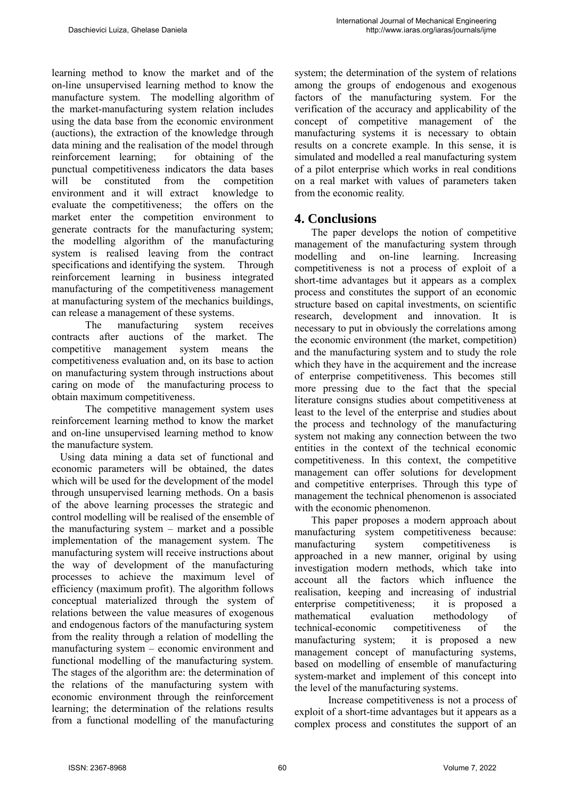learning method to know the market and of the on-line unsupervised learning method to know the manufacture system. The modelling algorithm of the market-manufacturing system relation includes using the data base from the economic environment (auctions), the extraction of the knowledge through data mining and the realisation of the model through reinforcement learning; for obtaining of the punctual competitiveness indicators the data bases will be constituted from the competition environment and it will extract knowledge to evaluate the competitiveness; the offers on the market enter the competition environment to generate contracts for the manufacturing system; the modelling algorithm of the manufacturing system is realised leaving from the contract specifications and identifying the system. Through reinforcement learning in business integrated manufacturing of the competitiveness management at manufacturing system of the mechanics buildings, can release a management of these systems.

The manufacturing system receives contracts after auctions of the market. The competitive management system means the competitiveness evaluation and, on its base to action on manufacturing system through instructions about caring on mode of the manufacturing process to obtain maximum competitiveness.

The competitive management system uses reinforcement learning method to know the market and on-line unsupervised learning method to know the manufacture system.

 Using data mining a data set of functional and economic parameters will be obtained, the dates which will be used for the development of the model through unsupervised learning methods. On a basis of the above learning processes the strategic and control modelling will be realised of the ensemble of the manufacturing system – market and a possible implementation of the management system. The manufacturing system will receive instructions about the way of development of the manufacturing processes to achieve the maximum level of efficiency (maximum profit). The algorithm follows conceptual materialized through the system of relations between the value measures of exogenous and endogenous factors of the manufacturing system from the reality through a relation of modelling the manufacturing system – economic environment and functional modelling of the manufacturing system. The stages of the algorithm are: the determination of the relations of the manufacturing system with economic environment through the reinforcement learning; the determination of the relations results from a functional modelling of the manufacturing

system; the determination of the system of relations among the groups of endogenous and exogenous factors of the manufacturing system. For the verification of the accuracy and applicability of the concept of competitive management of the manufacturing systems it is necessary to obtain results on a concrete example. In this sense, it is simulated and modelled a real manufacturing system of a pilot enterprise which works in real conditions on a real market with values of parameters taken from the economic reality.

## **4. Conclusions**

 The paper develops the notion of competitive management of the manufacturing system through modelling and on-line learning. Increasing competitiveness is not a process of exploit of a short-time advantages but it appears as a complex process and constitutes the support of an economic structure based on capital investments, on scientific research, development and innovation. It is necessary to put in obviously the correlations among the economic environment (the market, competition) and the manufacturing system and to study the role which they have in the acquirement and the increase of enterprise competitiveness. This becomes still more pressing due to the fact that the special literature consigns studies about competitiveness at least to the level of the enterprise and studies about the process and technology of the manufacturing system not making any connection between the two entities in the context of the technical economic competitiveness. In this context, the competitive management can offer solutions for development and competitive enterprises. Through this type of management the technical phenomenon is associated with the economic phenomenon.

 This paper proposes a modern approach about manufacturing system competitiveness because: manufacturing system competitiveness is approached in a new manner, original by using investigation modern methods, which take into account all the factors which influence the realisation, keeping and increasing of industrial enterprise competitiveness; it is proposed a mathematical evaluation methodology of technical-economic competitiveness of the manufacturing system; it is proposed a new management concept of manufacturing systems, based on modelling of ensemble of manufacturing system-market and implement of this concept into the level of the manufacturing systems.

Increase competitiveness is not a process of exploit of a short-time advantages but it appears as a complex process and constitutes the support of an